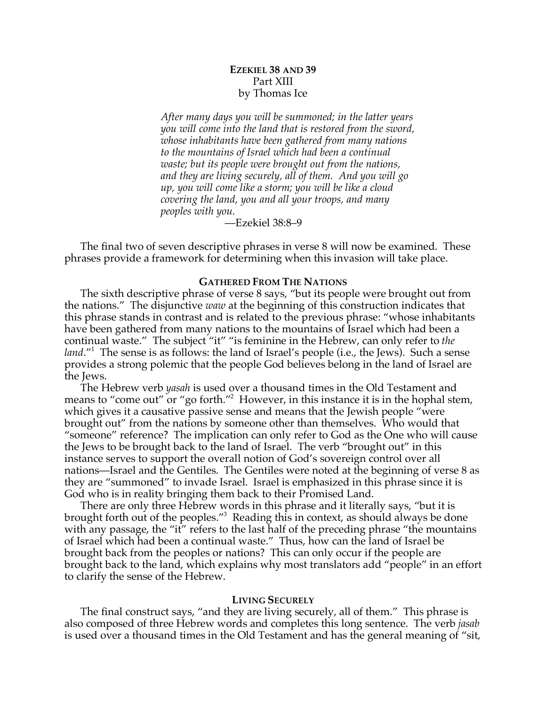# **EZEKIEL 38 AND 39** Part XIII by Thomas Ice

*After many days you will be summoned; in the latter years you will come into the land that is restored from the sword, whose inhabitants have been gathered from many nations to the mountains of Israel which had been a continual waste; but its people were brought out from the nations, and they are living securely, all of them. And you will go up, you will come like a storm; you will be like a cloud covering the land, you and all your troops, and many peoples with you.*

—Ezekiel 38:8–9

The final two of seven descriptive phrases in verse 8 will now be examined. These phrases provide a framework for determining when this invasion will take place.

### **GATHERED FROM THE NATIONS**

The sixth descriptive phrase of verse 8 says, "but its people were brought out from the nations." The disjunctive *waw* at the beginning of this construction indicates that this phrase stands in contrast and is related to the previous phrase: "whose inhabitants have been gathered from many nations to the mountains of Israel which had been a continual waste." The subject "it" "is feminine in the Hebrew, can only refer to *the*  land."<sup>1</sup> The sense is as follows: the land of Israel's people (i.e., the Jews). Such a sense provides a strong polemic that the people God believes belong in the land of Israel are the Jews.

The Hebrew verb *yasah* is used over a thousand times in the Old Testament and means to "come out" or "go forth."<sup>2</sup> However, in this instance it is in the hophal stem, which gives it a causative passive sense and means that the Jewish people "were brought out" from the nations by someone other than themselves. Who would that "someone" reference? The implication can only refer to God as the One who will cause the Jews to be brought back to the land of Israel. The verb "brought out" in this instance serves to support the overall notion of God's sovereign control over all nations—Israel and the Gentiles. The Gentiles were noted at the beginning of verse 8 as they are "summoned" to invade Israel. Israel is emphasized in this phrase since it is God who is in reality bringing them back to their Promised Land.

There are only three Hebrew words in this phrase and it literally says, "but it is brought forth out of the peoples."3 Reading this in context, as should always be done with any passage, the "it" refers to the last half of the preceding phrase "the mountains" of Israel which had been a continual waste." Thus, how can the land of Israel be brought back from the peoples or nations? This can only occur if the people are brought back to the land, which explains why most translators add "people" in an effort to clarify the sense of the Hebrew.

#### **LIVING SECURELY**

The final construct says, "and they are living securely, all of them." This phrase is also composed of three Hebrew words and completes this long sentence. The verb *jasab* is used over a thousand times in the Old Testament and has the general meaning of "sit,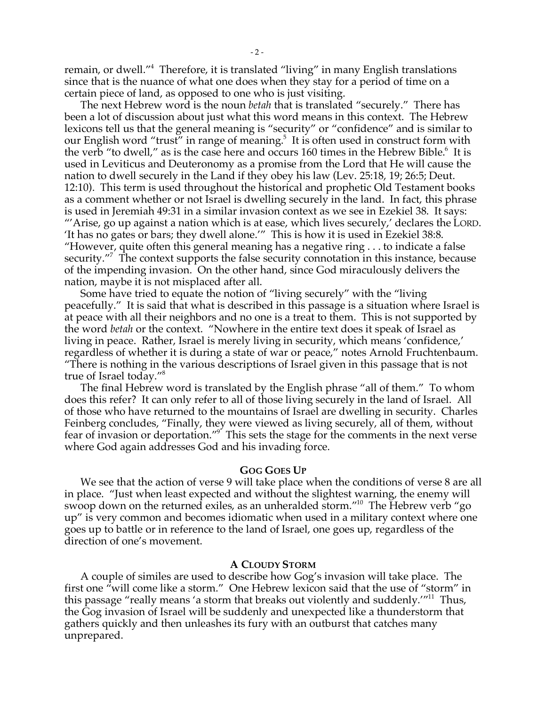remain, or dwell."4 Therefore, it is translated "living" in many English translations since that is the nuance of what one does when they stay for a period of time on a certain piece of land, as opposed to one who is just visiting.

The next Hebrew word is the noun *betah* that is translated "securely." There has been a lot of discussion about just what this word means in this context. The Hebrew lexicons tell us that the general meaning is "security" or "confidence" and is similar to our English word "trust" in range of meaning.<sup>5</sup> It is often used in construct form with the verb "to dwell," as is the case here and occurs 160 times in the Hebrew Bible.<sup>6</sup> It is used in Leviticus and Deuteronomy as a promise from the Lord that He will cause the nation to dwell securely in the Land if they obey his law (Lev. 25:18, 19; 26:5; Deut. 12:10). This term is used throughout the historical and prophetic Old Testament books as a comment whether or not Israel is dwelling securely in the land. In fact, this phrase is used in Jeremiah 49:31 in a similar invasion context as we see in Ezekiel 38. It says: "'Arise, go up against a nation which is at ease, which lives securely,' declares the LORD. 'It has no gates or bars; they dwell alone.'" This is how it is used in Ezekiel 38:8. "However, quite often this general meaning has a negative ring  $\dots$  to indicate a false security."<sup>7</sup> The context supports the false security connotation in this instance, because of the impending invasion. On the other hand, since God miraculously delivers the nation, maybe it is not misplaced after all.

Some have tried to equate the notion of "living securely" with the "living peacefully." It is said that what is described in this passage is a situation where Israel is at peace with all their neighbors and no one is a treat to them. This is not supported by the word *betah* or the context. "Nowhere in the entire text does it speak of Israel as living in peace. Rather, Israel is merely living in security, which means 'confidence,' regardless of whether it is during a state of war or peace," notes Arnold Fruchtenbaum. "There is nothing in the various descriptions of Israel given in this passage that is not true of Israel today."8

The final Hebrew word is translated by the English phrase "all of them." To whom does this refer? It can only refer to all of those living securely in the land of Israel. All of those who have returned to the mountains of Israel are dwelling in security. Charles Feinberg concludes, "Finally, they were viewed as living securely, all of them, without fear of invasion or deportation."<sup>9</sup> This sets the stage for the comments in the next verse where God again addresses God and his invading force.

### **GOG GOES UP**

We see that the action of verse 9 will take place when the conditions of verse 8 are all in place. "Just when least expected and without the slightest warning, the enemy will swoop down on the returned exiles, as an unheralded storm."10 The Hebrew verb "go up" is very common and becomes idiomatic when used in a military context where one goes up to battle or in reference to the land of Israel, one goes up, regardless of the direction of one's movement.

### **A CLOUDY STORM**

A couple of similes are used to describe how Gog's invasion will take place. The first one "will come like a storm." One Hebrew lexicon said that the use of "storm" in this passage "really means 'a storm that breaks out violently and suddenly."<sup>11</sup> Thus, the Gog invasion of Israel will be suddenly and unexpected like a thunderstorm that gathers quickly and then unleashes its fury with an outburst that catches many unprepared.